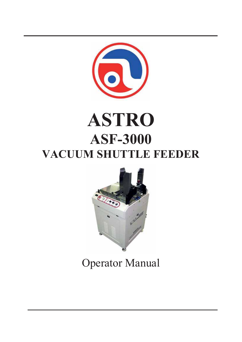

# **ASTRO ASF-3000 VACUUM SHUTTLE FEEDER**



Operator Manual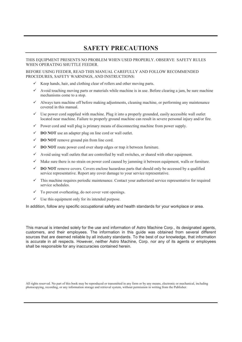### **SAFETY PRECAUTIONS**

THIS EQUIPMENT PRESENTS NO PROBLEM WHEN USED PROPERLY. OBSERVE SAFETY RULES WHEN OPERATING SHUTTLE FEEDER.

BEFORE USING FEEDER, READ THIS MANUAL CAREFULLY AND FOLLOW RECOMMENDED PROCEDURES, SAFETY WARNINGS, AND INSTRUCTIONS:

- $\checkmark$  Keep hands, hair, and clothing clear of rollers and other moving parts.
- $\checkmark$  Avoid touching moving parts or materials while machine is in use. Before clearing a jam, be sure machine mechanisms come to a stop.
- $\checkmark$  Always turn machine off before making adjustments, cleaning machine, or performing any maintenance covered in this manual.
- $\checkmark$  Use power cord supplied with machine. Plug it into a properly grounded, easily accessible wall outlet located near machine. Failure to properly ground machine can result in severe personal injury and/or fire.
- $\checkmark$  Power cord and wall plug is primary means of disconnecting machine from power supply.
- $\checkmark$  **DO NOT** use an adapter plug on line cord or wall outlet.
- $\checkmark$  **DO NOT** remove ground pin from line cord.
- $\checkmark$  **DO NOT** route power cord over sharp edges or trap it between furniture.
- $\checkmark$  Avoid using wall outlets that are controlled by wall switches, or shared with other equipment.
- $\checkmark$  Make sure there is no strain on power cord caused by jamming it between equipment, walls or furniture.
- $\checkmark$  **DO NOT** remove covers. Covers enclose hazardous parts that should only be accessed by a qualified service representative. Report any cover damage to your service representative.
- $\checkmark$  This machine requires periodic maintenance. Contact your authorized service representative for required service schedules.
- $\checkmark$  To prevent overheating, do not cover vent openings.
- $\checkmark$  Use this equipment only for its intended purpose.

In addition, follow any specific occupational safety and health standards for your workplace or area.

This manual is intended solely for the use and information of Astro Machine Corp., its designated agents, customers, and their employees. The information in this guide was obtained from several different sources that are deemed reliable by all industry standards. To the best of our knowledge, that information is accurate in all respects. However, neither Astro Machine, Corp. nor any of its agents or employees shall be responsible for any inaccuracies contained herein.

All rights reserved. No part of this book may be reproduced or transmitted in any form or by any means, electronic or mechanical, including photocopying, recording, or any information storage and retrieval system, without permission in writing from the Publisher.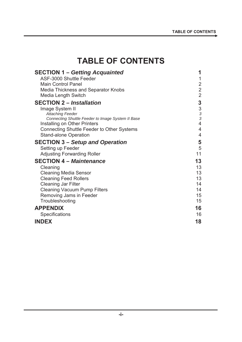### **TABLE OF CONTENTS**

| <b>SECTION 1 - Getting Acquainted</b>                                             | 1              |
|-----------------------------------------------------------------------------------|----------------|
| ASF-3000 Shuttle Feeder                                                           | 1              |
| <b>Main Control Panel</b>                                                         | $\overline{c}$ |
| <b>Media Thickness and Separator Knobs</b>                                        | $\overline{2}$ |
| Media Length Switch                                                               | $\overline{2}$ |
| <b>SECTION 2 – Installation</b>                                                   | 3              |
| Image System II                                                                   | $\sqrt{3}$     |
| <b>Attaching Feeder</b>                                                           | $\frac{3}{3}$  |
| Connecting Shuttle Feeder to Image System II Base                                 | 4              |
| Installing on Other Printers<br><b>Connecting Shuttle Feeder to Other Systems</b> | $\overline{4}$ |
| <b>Stand-alone Operation</b>                                                      | $\overline{4}$ |
|                                                                                   |                |
| <b>SECTION 3 – Setup and Operation</b>                                            | 5              |
| Setting up Feeder                                                                 | 5<br>11        |
| <b>Adjusting Forwarding Roller</b>                                                |                |
| <b>SECTION 4 - Maintenance</b>                                                    | 13             |
| Cleaning                                                                          | 13             |
| <b>Cleaning Media Sensor</b>                                                      | 13             |
| <b>Cleaning Feed Rollers</b>                                                      | 13             |
| <b>Cleaning Jar Filter</b>                                                        | 14             |
| <b>Cleaning Vacuum Pump Filters</b>                                               | 14             |
| Removing Jams in Feeder                                                           | 15<br>15       |
| Troubleshooting                                                                   |                |
| <b>APPENDIX</b>                                                                   | 16             |
| Specifications                                                                    | 16             |
| <b>INDEX</b>                                                                      | 18             |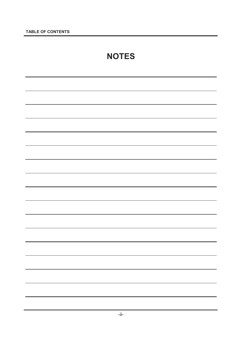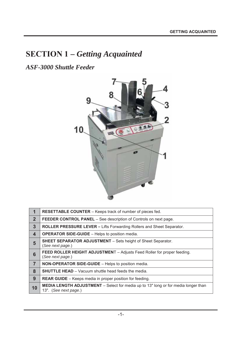## **SECTION 1 –** *Getting Acquainted*

*ASF-3000 Shuttle Feeder* 



|              | <b>RESETTABLE COUNTER</b> - Keeps track of number of pieces fed.                                                   |  |
|--------------|--------------------------------------------------------------------------------------------------------------------|--|
| $\mathbf{2}$ | <b>FEEDER CONTROL PANEL</b> – See description of Controls on next page.                                            |  |
| 3            | <b>ROLLER PRESSURE LEVER - Lifts Forwarding Rollers and Sheet Separator.</b>                                       |  |
| 4            | <b>OPERATOR SIDE-GUIDE</b> – Helps to position media.                                                              |  |
| 5            | <b>SHEET SEPARATOR ADJUSTMENT</b> – Sets height of Sheet Separator.<br>(See next page.)                            |  |
| 6            | FEED ROLLER HEIGHT ADJUSTMENT - Adjusts Feed Roller for proper feeding.<br>(See next page.)                        |  |
| 7            | NON-OPERATOR SIDE-GUIDE - Helps to position media.                                                                 |  |
| 8            | <b>SHUTTLE HEAD</b> - Vacuum shuttle head feeds the media.                                                         |  |
| 9            | <b>REAR GUIDE</b> – Keeps media in proper position for feeding.                                                    |  |
| 10           | <b>MEDIA LENGTH ADJUSTMENT</b> – Select for media up to 13" long or for media longer than<br>13". (See next page.) |  |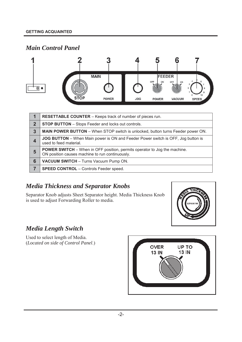### *Main Control Panel*



|              | RESETTABLE COUNTER - Keeps track of number of pieces run.                                                                           |  |
|--------------|-------------------------------------------------------------------------------------------------------------------------------------|--|
| $\mathbf{2}$ | <b>STOP BUTTON</b> – Stops Feeder and locks out controls.                                                                           |  |
| 3            | <b>MAIN POWER BUTTON</b> – When STOP switch is unlocked, button turns Feeder power ON.                                              |  |
| 4            | <b>JOG BUTTON</b> – When Main power is ON and Feeder Power switch is OFF, Jog button is<br>used to feed material.                   |  |
| 5            | <b>POWER SWITCH</b> – When in OFF position, permits operator to Jog the machine.<br>ON position causes machine to run continuously. |  |
| 6            | <b>VACUUM SWITCH</b> - Turns Vacuum Pump ON.                                                                                        |  |
|              | <b>SPEED CONTROL</b> - Controls Feeder speed.                                                                                       |  |

#### *Media Thickness and Separator Knobs*

Separator Knob adjusts Sheet Separator height. Media Thickness Knob is used to adjust Forwarding Roller to media.



#### *Media Length Switch*

Used to select length of Media. (*Located on side of Control Panel*.)

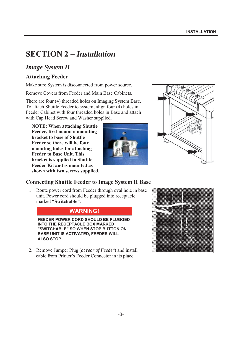### **SECTION 2 –** *Installation*

#### *Image System II*

#### **Attaching Feeder**

Make sure System is disconnected from power source.

Remove Covers from Feeder and Main Base Cabinets.

There are four (4) threaded holes on Imaging System Base. To attach Shuttle Feeder to system, align four (4) holes in Feeder Cabinet with four threaded holes in Base and attach with Cap Head Screw and Washer supplied.

**NOTE: When attaching Shuttle Feeder, first mount a mounting bracket to base of Shuttle Feeder so there will be four mounting holes for attaching Feeder to Base Unit. This bracket is supplied in Shuttle Feeder Kit and is mounted as shown with two screws supplied.** 





#### **Connecting Shuttle Feeder to Image System II Base**

1. Route power cord from Feeder through oval hole in base unit. Power cord should be plugged into receptacle marked **"Switchable"**.

#### **WARNING!**

**FEEDER POWER CORD SHOULD BE PLUGGED INTO THE RECEPTACLE BOX MARKED "SWITCHABLE" SO WHEN STOP BUTTON ON BASE UNIT IS ACTIVATED, FEEDER WILL ALSO STOP.** 

2. Remove Jumper Plug (*at rear of Feeder*) and install cable from Printer's Feeder Connector in its place.

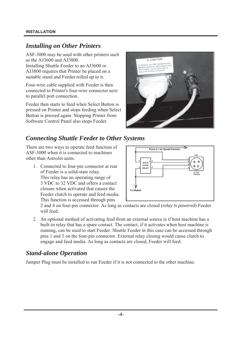#### *Installing on Other Printers*

ASF-3000 may be used with other printers such as the AJ3600 and AJ3800. Installing Shuttle Feeder to an AJ3600 or AJ3800 requires that Printer be placed on a suitable stand and Feeder rolled up to it.

Four-wire cable supplied with Feeder is then connected to Printer's four-wire connector next to parallel port connection.

Feeder then starts to feed when Select Button is pressed on Printer and stops feeding when Select Button is pressed again. Stopping Printer from Software Control Panel also stops Feeder.



### *Connecting Shuttle Feeder to Other Systems*

There are two ways to operate feed function of ASF-3000 when it is connected to machines other than AstroJet units.

1. Connected to four-pin connector at rear of Feeder is a solid-state relay. This relay has an operating range of 3 VDC to 32 VDC and offers a contact closure when activated that causes the Feeder clutch to operate and feed media. This function is accessed through pins



2 and 4 on four-pin connector. As long as contacts are closed (*relay is powered*) Feeder will feed.

2. An optional method of activating feed from an external source is if host machine has a built-in relay that has a spare contact. The contact, if it activates when host machine is running, can be used to start Feeder. Shuttle Feeder in this case can be accessed through pins 1 and 3 on the four-pin connector. External relay closing would cause clutch to engage and feed media. As long as contacts are closed, Feeder will feed.

#### *Stand-alone Operation*

Jumper Plug must be installed to run Feeder if it is not connected to the other machine.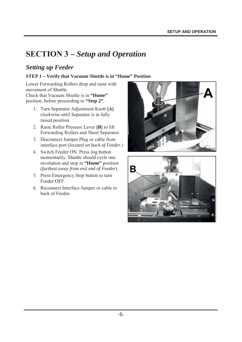### **SECTION 3 –** *Setup and Operation*

#### *Setting up Feeder*

#### **STEP 1 – Verify that Vacuum Shuttle is in "Home" Position**

Lower Forwarding Rollers drop and raise with movement of Shuttle.

Check that Vacuum Shuttle is in **"Home"** position, before proceeding to **"Step 2"**.

- 1. Turn Separator Adjustment Knob **[A]** clockwise until Separator is in fully raised position.
- 2. Raise Roller Pressure Lever **[B]** to lift Forwarding Rollers and Sheet Separator.
- 3. Disconnect Jumper Plug or cable from interface port (*located on back of Feeder*.)
- 4. Switch Feeder ON. Press Jog button momentarily. Shuttle should cycle one revolution and stop in **"Home"** position (*furthest away from exit end of Feeder*).
- 5. Press Emergency Stop button to turn Feeder OFF.
- 6. Reconnect Interface Jumper or cable to back of Feeder.



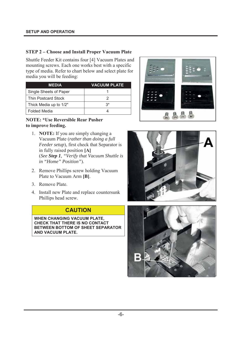#### **STEP 2 – Choose and Install Proper Vacuum Plate**

Shuttle Feeder Kit contains four [4] Vacuum Plates and mounting screws. Each one works best with a specific type of media. Refer to chart below and select plate for media you will be feeding:

| <b>MEDIA</b>               | <b>VACUUM PLATE</b> |
|----------------------------|---------------------|
| Single Sheets of Paper     |                     |
| <b>Thin Postcard Stock</b> |                     |
| Thick Media up to 1/2"     | $3^*$               |
| <b>Folded Media</b>        |                     |

#### **NOTE: \*Use Reversible Rear Pusher to improve feeding.**

- 1. **NOTE:** If you are simply changing a Vacuum Plate (*rather than doing a full Feeder setup*), first check that Separator is in fully raised position **[A]** (*See Step 1, "Verify that Vacuum Shuttle is in "Home" Position"*).
- 2. Remove Phillips screw holding Vacuum Plate to Vacuum Arm **[B]**.
- 3. Remove Plate.
- 4. Install new Plate and replace countersunk Phillips head screw.

#### **CAUTION**

**WHEN CHANGING VACUUM PLATE, CHECK THAT THERE IS NO CONTACT BETWEEN BOTTOM OF SHEET SEPARATOR AND VACUUM PLATE.** 





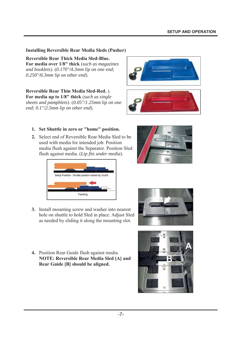#### **Installing Reversible Rear Media Sleds (Pusher)**

**Reversible Rear Thick Media Sled-Blue. For media over 1/8" thick** (*such as magazines and booklets*). (*0.170"/4.3mm lip on one end; 0.250"/6.3mm lip on other end*).

**Reversible Rear Thin Media Sled-Red.** ). **For media up to 1/8" thick** (*such as single sheets and pamphlets*). (*0.05"/1.25mm lip on one end; 0.1"/2.5mm lip on other end*).





#### **1. Set Shuttle in zero or "home" position.**

**2.** Select end of Reversible Rear Media Sled to be used with media for intended job. Position media flush against the Separator. Position Sled flush against media. (*Lip fits under media*).



- **3.** Install mounting screw and washer into nearest hole on shuttle to hold Sled in place. Adjust Sled as needed by sliding it along the mounting slot.
- **4.** Position Rear Guide flush against media. **NOTE: Reversible Rear Media Sled [A] and Rear Guide [B] should be aligned.**



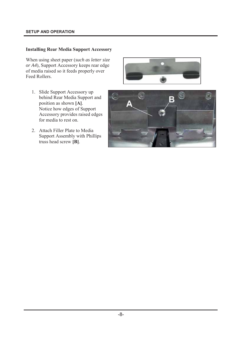#### **SETUP AND OPERATION**

#### **Installing Rear Media Support Accessory**

When using sheet paper (*such as letter size or A4*), Support Accessory keeps rear edge of media raised so it feeds properly over Feed Rollers.

- 1. Slide Support Accessory up behind Rear Media Support and position as shown **[A]**. Notice how edges of Support Accessory provides raised edges for media to rest on.
- 2. Attach Filler Plate to Media Support Assembly with Phillips truss head screw **[B]**.



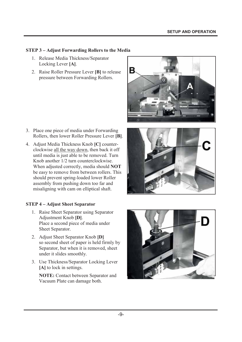#### **STEP 3 – Adjust Forwarding Rollers to the Media**

- 1. Release Media Thickness/Separator Locking Lever **[A]**.
- 2. Raise Roller Pressure Lever **[B]** to release pressure between Forwarding Rollers.



- 3. Place one piece of media under Forwarding Rollers, then lower Roller Pressure Lever **[B]**.
- 4. Adjust Media Thickness Knob **[C]** counterclockwise all the way down, then back it off until media is just able to be removed. Turn Knob another 1/2 turn counterclockwise. When adjusted correctly, media should **NOT** be easy to remove from between rollers. This should prevent spring-loaded lower Roller assembly from pushing down too far and misaligning with cam on elliptical shaft.

#### **STEP 4 – Adjust Sheet Separator**

- 1. Raise Sheet Separator using Separator Adjustment Knob **[D]**. Place a second piece of media under Sheet Separator.
- 2. Adjust Sheet Separator Knob **[D]** so second sheet of paper is held firmly by Separator, but when it is removed, sheet under it slides smoothly.
- 3. Use Thickness/Separator Locking Lever **[A]** to lock in settings.

**NOTE:** Contact between Separator and Vacuum Plate can damage both.



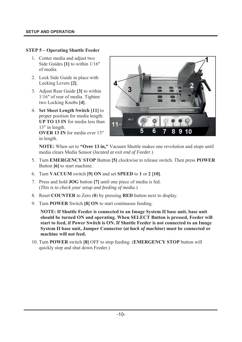#### **STEP 5 – Operating Shuttle Feeder**

- 1. Center media and adjust two Side Guides **[1]** to within 1/16" of media.
- 2. Lock Side Guide in place with Locking Levers **[2]**.
- 3. Adjust Rear Guide **[3]** to within 1/16" of rear of media. Tighten two Locking Knobs **[4]**.
- 4. **Set Sheet Length Switch [11]** to proper position for media length: **UP TO 13 IN** for media less than 13" in length. **OVER 13 IN** for media over 13" in length.



**NOTE:** When set to **"Over 13 in,"** Vacuum Shuttle makes one revolution and stops until media clears Media Sensor (*located at exit end of Feeder.*)

- 5. Turn **EMERGENCY STOP** Button **[5]** clockwise to release switch. Then press **POWER** Button **[6]** to start machine.
- 6. Turn **VACUUM** switch **[9] ON** and set **SPEED** to **1** or **2 [10]**.
- 7. Press and hold **JOG** button **[7]** until one piece of media is fed. (*This is to check your setup and feeding of media*.)
- 8. Reset **COUNTER** to Zero (**0**) by pressing **RED** button next to display.
- 9. Turn **POWER** Switch **[8] ON** to start continuous feeding.

**NOTE: If Shuttle Feeder is connected to an Image System II base unit, base unit should be turned ON and operating. When SELECT Button is pressed, Feeder will start to feed, if Power Switch is ON. If Shuttle Feeder is not connected to an Image System II base unit, Jumper Connector (***at back of machine***) must be connected or machine will not feed.** 

10. Turn **POWER** switch **[8]** OFF to stop feeding. (**EMERGENCY STOP** button will quickly stop and shut down Feeder.)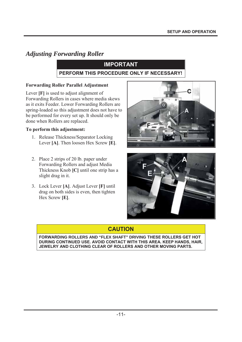#### *Adjusting Forwarding Roller*

#### **IMPORTANT**

#### **PERFORM THIS PROCEDURE ONLY IF NECESSARY!**

#### **Forwarding Roller Parallel Adjustment**

Lever **[F]** is used to adjust alignment of Forwarding Rollers in cases where media skews as it exits Feeder. Lower Forwarding Rollers are spring-loaded so this adjustment does not have to be performed for every set up. It should only be done when Rollers are replaced.

#### **To perform this adjustment:**

- 1. Release Thickness/Separator Locking Lever **[A]**. Then loosen Hex Screw **[E]**.
- 2. Place 2 strips of 20 lb. paper under Forwarding Rollers and adjust Media Thickness Knob **[C]** until one strip has a slight drag in it.
- 3. Lock Lever **[A]**. Adjust Lever **[F]** until drag on both sides is even, then tighten Hex Screw **[E]**.





#### **CAUTION**

**FORWARDING ROLLERS AND "FLEX SHAFT" DRIVING THESE ROLLERS GET HOT DURING CONTINUED USE. AVOID CONTACT WITH THIS AREA. KEEP HANDS, HAIR, JEWELRY AND CLOTHING CLEAR OF ROLLERS AND OTHER MOVING PARTS.**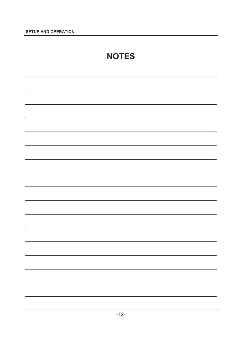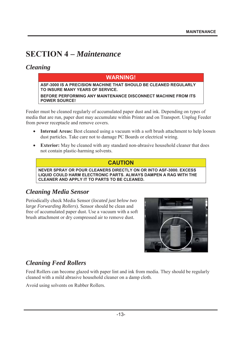### **SECTION 4 –** *Maintenance*

#### *Cleaning*

#### **WARNING!**

**ASF-3000 IS A PRECISION MACHINE THAT SHOULD BE CLEANED REGULARLY TO INSURE MANY YEARS OF SERVICE.** 

**BEFORE PERFORMING ANY MAINTENANCE DISCONNECT MACHINE FROM ITS POWER SOURCE!**

Feeder must be cleaned regularly of accumulated paper dust and ink. Depending on types of media that are run, paper dust may accumulate within Printer and on Transport. Unplug Feeder from power receptacle and remove covers.

- **Internal Areas:** Best cleaned using a vacuum with a soft brush attachment to help loosen dust particles. Take care not to damage PC Boards or electrical wiring.
- **Exterior:** May be cleaned with any standard non-abrasive household cleaner that does not contain plastic-harming solvents.

#### **CAUTION**

**NEVER SPRAY OR POUR CLEANERS DIRECTLY ON OR INTO ASF-3000. EXCESS LIQUID COULD HARM ELECTRONIC PARTS. ALWAYS DAMPEN A RAG WITH THE CLEANER AND APPLY IT TO PARTS TO BE CLEANED.** 

#### *Cleaning Media Sensor*

Periodically check Media Sensor (*located just below two large Forwarding Rollers*). Sensor should be clean and free of accumulated paper dust. Use a vacuum with a soft brush attachment or dry compressed air to remove dust.



#### *Cleaning Feed Rollers*

Feed Rollers can become glazed with paper lint and ink from media. They should be regularly cleaned with a mild abrasive household cleaner on a damp cloth.

Avoid using solvents on Rubber Rollers.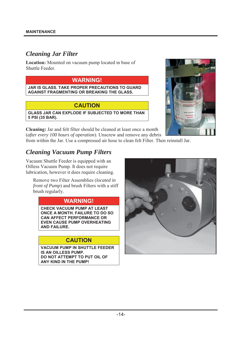#### *Cleaning Jar Filter*

**Location:** Mounted on vacuum pump located in base of Shuttle Feeder.

#### **WARNING!**

**JAR IS GLASS. TAKE PROPER PRECAUTIONS TO GUARD AGAINST FRAGMENTING OR BREAKING THE GLASS.** 

#### **CAUTION**

**GLASS JAR CAN EXPLODE IF SUBJECTED TO MORE THAN 5 PSI (35 BAR).** 



**Cleaning:** Jar and felt filter should be cleaned at least once a month (*after every 100 hours of operation*). Unscrew and remove any debris

from within the Jar. Use a compressed air hose to clean felt Filter. Then reinstall Jar.

#### *Cleaning Vacuum Pump Filters*

Vacuum Shuttle Feeder is equipped with an Oilless Vacuum Pump. It does not require lubrication, however it does require cleaning.

Remove two Filter Assemblies (*located in front of Pump*) and brush Filters with a stiff brush regularly.

#### **WARNING!**

**CHECK VACUUM PUMP AT LEAST ONCE A MONTH. FAILURE TO DO SO CAN AFFECT PERFORMANCE OR EVEN CAUSE PUMP OVERHEATING AND FAILURE.** 

#### **CAUTION**

**VACUUM PUMP IN SHUTTLE FEEDER IS AN OILLESS PUMP. DO NOT ATTEMPT TO PUT OIL OF ANY KIND IN THE PUMP!**

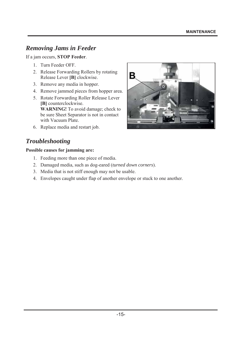#### *Removing Jams in Feeder*

If a jam occurs, **STOP Feeder**.

- 1. Turn Feeder OFF.
- 2. Release Forwarding Rollers by rotating Release Lever **[B]** clockwise.
- 3. Remove any media in hopper.
- 4. Remove jammed pieces from hopper area.
- 5. Rotate Forwarding Roller Release Lever **[B]** counterclockwise. **WARNING!** To avoid damage; check to be sure Sheet Separator is not in contact with Vacuum Plate.
- 6. Replace media and restart job.

### *Troubleshooting*

#### **Possible causes for jamming are:**

- 1. Feeding more than one piece of media.
- 2. Damaged media, such as dog-eared (*turned down corners*).
- 3. Media that is not stiff enough may not be usable.
- 4. Envelopes caught under flap of another envelope or stuck to one another.

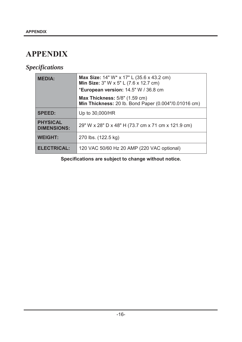### **APPENDIX**

### *Specifications*

| <b>MEDIA:</b>                         | Max Size: 14" W* x 17" L (35.6 x 43.2 cm)<br>Min Size: 3" W x 5" L (7.6 x 12.7 cm)<br>*European version: 14.5" W / 36.8 cm |  |
|---------------------------------------|----------------------------------------------------------------------------------------------------------------------------|--|
|                                       | <b>Max Thickness: 5/8" (1.59 cm)</b><br>Min Thickness: 20 lb. Bond Paper (0.004"/0.01016 cm)                               |  |
| <b>SPEED:</b>                         | Up to 30,000/HR                                                                                                            |  |
| <b>PHYSICAL</b><br><b>DIMENSIONS:</b> | 29" W x 28" D x 48" H (73.7 cm x 71 cm x 121.9 cm)                                                                         |  |
| <b>WEIGHT:</b>                        | 270 lbs. (122.5 kg)                                                                                                        |  |
| <b>ELECTRICAL:</b>                    | 120 VAC 50/60 Hz 20 AMP (220 VAC optional)                                                                                 |  |

**Specifications are subject to change without notice.**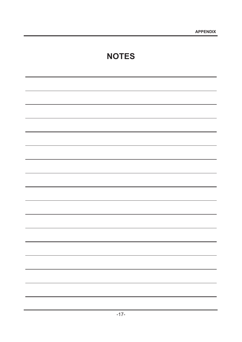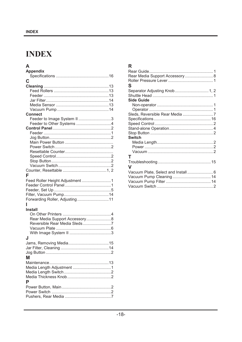### **INDEX**

| A                               |
|---------------------------------|
| <b>Appendix</b>                 |
|                                 |
| C                               |
|                                 |
|                                 |
|                                 |
|                                 |
|                                 |
|                                 |
| <b>Connect</b>                  |
| Feeder to Image System II 3     |
| Feeder to Other Systems 4       |
|                                 |
|                                 |
|                                 |
|                                 |
|                                 |
|                                 |
|                                 |
|                                 |
|                                 |
|                                 |
| F                               |
| Feed Roller Height Adjustment 1 |
|                                 |
|                                 |
|                                 |
| Forwarding Roller, Adjusting11  |
| ı                               |
| <b>Install</b>                  |
|                                 |
| Rear Media Support Accessory8   |
| Reversible Rear Media Sleds7    |
|                                 |
|                                 |
| J                               |
|                                 |
|                                 |
|                                 |
| Μ                               |
|                                 |
|                                 |
|                                 |
|                                 |
| P                               |
|                                 |
|                                 |
|                                 |

#### $\overline{\mathsf{R}}$

| Rear Media Support Accessory  8    |  |
|------------------------------------|--|
|                                    |  |
| S                                  |  |
|                                    |  |
|                                    |  |
| Side Guide                         |  |
|                                    |  |
|                                    |  |
| Sleds, Reversible Rear Media 7     |  |
|                                    |  |
|                                    |  |
|                                    |  |
|                                    |  |
| <b>Switch</b>                      |  |
|                                    |  |
|                                    |  |
|                                    |  |
| Т                                  |  |
|                                    |  |
| v                                  |  |
|                                    |  |
| Vacuum Plate, Select and Install 6 |  |
|                                    |  |
|                                    |  |
|                                    |  |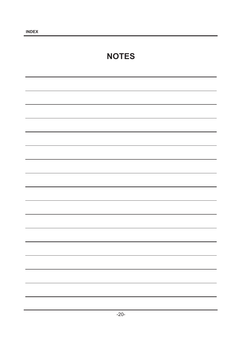